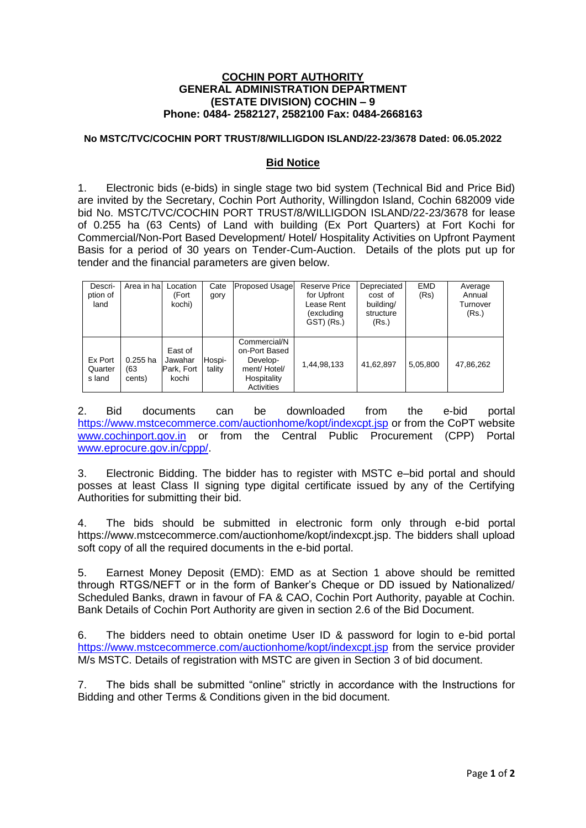## **COCHIN PORT AUTHORITY GENERAL ADMINISTRATION DEPARTMENT (ESTATE DIVISION) COCHIN – 9 Phone: 0484- 2582127, 2582100 Fax: 0484-2668163**

## **No MSTC/TVC/COCHIN PORT TRUST/8/WILLIGDON ISLAND/22-23/3678 Dated: 06.05.2022**

## **Bid Notice**

1. Electronic bids (e-bids) in single stage two bid system (Technical Bid and Price Bid) are invited by the Secretary, Cochin Port Authority, Willingdon Island, Cochin 682009 vide bid No. MSTC/TVC/COCHIN PORT TRUST/8/WILLIGDON ISLAND/22-23/3678 for lease of 0.255 ha (63 Cents) of Land with building (Ex Port Quarters) at Fort Kochi for Commercial/Non-Port Based Development/ Hotel/ Hospitality Activities on Upfront Payment Basis for a period of 30 years on Tender-Cum-Auction. Details of the plots put up for tender and the financial parameters are given below.

| Descri-<br>ption of<br>land  | Area in hal                 | Location<br>(Fort<br>kochi)               | Cate<br>gory     | <b>Proposed Usage</b>                                                                 | <b>Reserve Price</b><br>for Upfront<br>Lease Rent<br>(excluding<br>GST) (Rs.) | Depreciated<br>cost of<br>building/<br>structure<br>(Rs.) | <b>EMD</b><br>(Rs) | Average<br>Annual<br>Turnover<br>(Rs.) |
|------------------------------|-----------------------------|-------------------------------------------|------------------|---------------------------------------------------------------------------------------|-------------------------------------------------------------------------------|-----------------------------------------------------------|--------------------|----------------------------------------|
| Ex Port<br>Quarter<br>s land | $0.255$ ha<br>(63<br>cents) | East of<br>Jawahar<br>Park, Fort<br>kochi | Hospi-<br>tality | Commercial/N<br>on-Port Based<br>Develop-<br>ment/Hotel/<br>Hospitality<br>Activities | 1,44,98,133                                                                   | 41,62,897                                                 | 5,05,800           | 47,86,262                              |

2. Bid documents can be downloaded from the e-bid portal [https://www.mstcecommerce.com/auctionhome/kopt/indexcpt.jsp](http://www.mstcecommerce.com/) or from the CoPT website [www.cochinport.gov.in](http://www.cochinport.gov.in/) or from the Central Public Procurement (CPP) Portal [www.eprocure.gov.in/cppp/.](http://www.eprocure.gov.in/cppp/)

3. Electronic Bidding. The bidder has to register with MSTC e–bid portal and should posses at least Class II signing type digital certificate issued by any of the Certifying Authorities for submitting their bid.

4. The bids should be submitted in electronic form only through e-bid portal [https://www.mstcecommerce.com/auctionhome/kopt/indexcpt.jsp.](http://www.mstcecommerce.com/) The bidders shall upload soft copy of all the required documents in the e-bid portal.

5. Earnest Money Deposit (EMD): EMD as at Section 1 above should be remitted through RTGS/NEFT or in the form of Banker's Cheque or DD issued by Nationalized/ Scheduled Banks, drawn in favour of FA & CAO, Cochin Port Authority, payable at Cochin. Bank Details of Cochin Port Authority are given in section 2.6 of the Bid Document.

6. The bidders need to obtain onetime User ID & password for login to e-bid portal <https://www.mstcecommerce.com/auctionhome/kopt/indexcpt.jsp> from the service provider M/s MSTC. Details of registration with MSTC are given in Section 3 of bid document.

7. The bids shall be submitted "online" strictly in accordance with the Instructions for Bidding and other Terms & Conditions given in the bid document.